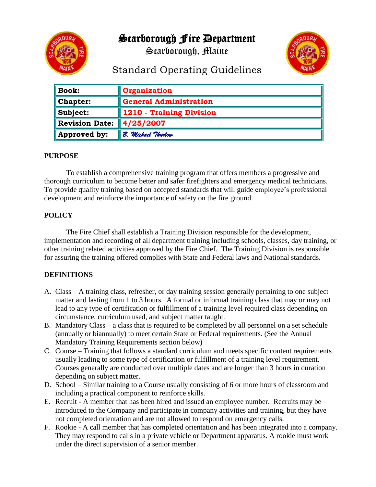

Scarborough Fire Department

Scarborough, Maine



# Standard Operating Guidelines

| <b>Book:</b>          | Organization                  |
|-----------------------|-------------------------------|
| <b>Chapter:</b>       | <b>General Administration</b> |
| Subject:              | 1210 - Training Division      |
| <b>Revision Date:</b> | 4/25/2007                     |
| Approved by:          | B. Michael Thurlow            |

#### **PURPOSE**

To establish a comprehensive training program that offers members a progressive and thorough curriculum to become better and safer firefighters and emergency medical technicians. To provide quality training based on accepted standards that will guide employee's professional development and reinforce the importance of safety on the fire ground.

# **POLICY**

The Fire Chief shall establish a Training Division responsible for the development, implementation and recording of all department training including schools, classes, day training, or other training related activities approved by the Fire Chief. The Training Division is responsible for assuring the training offered complies with State and Federal laws and National standards.

# **DEFINITIONS**

- A. Class A training class, refresher, or day training session generally pertaining to one subject matter and lasting from 1 to 3 hours. A formal or informal training class that may or may not lead to any type of certification or fulfillment of a training level required class depending on circumstance, curriculum used, and subject matter taught.
- B. Mandatory Class a class that is required to be completed by all personnel on a set schedule (annually or biannually) to meet certain State or Federal requirements. (See the Annual Mandatory Training Requirements section below)
- C. Course Training that follows a standard curriculum and meets specific content requirements usually leading to some type of certification or fulfillment of a training level requirement. Courses generally are conducted over multiple dates and are longer than 3 hours in duration depending on subject matter.
- D. School Similar training to a Course usually consisting of 6 or more hours of classroom and including a practical component to reinforce skills.
- E. Recruit A member that has been hired and issued an employee number. Recruits may be introduced to the Company and participate in company activities and training, but they have not completed orientation and are not allowed to respond on emergency calls.
- F. Rookie A call member that has completed orientation and has been integrated into a company. They may respond to calls in a private vehicle or Department apparatus. A rookie must work under the direct supervision of a senior member.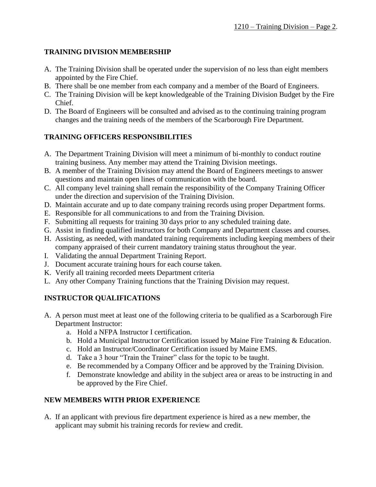# **TRAINING DIVISION MEMBERSHIP**

- A. The Training Division shall be operated under the supervision of no less than eight members appointed by the Fire Chief.
- B. There shall be one member from each company and a member of the Board of Engineers.
- C. The Training Division will be kept knowledgeable of the Training Division Budget by the Fire Chief.
- D. The Board of Engineers will be consulted and advised as to the continuing training program changes and the training needs of the members of the Scarborough Fire Department.

# **TRAINING OFFICERS RESPONSIBILITIES**

- A. The Department Training Division will meet a minimum of bi-monthly to conduct routine training business. Any member may attend the Training Division meetings.
- B. A member of the Training Division may attend the Board of Engineers meetings to answer questions and maintain open lines of communication with the board.
- C. All company level training shall remain the responsibility of the Company Training Officer under the direction and supervision of the Training Division.
- D. Maintain accurate and up to date company training records using proper Department forms.
- E. Responsible for all communications to and from the Training Division.
- F. Submitting all requests for training 30 days prior to any scheduled training date.
- G. Assist in finding qualified instructors for both Company and Department classes and courses.
- H. Assisting, as needed, with mandated training requirements including keeping members of their company appraised of their current mandatory training status throughout the year.
- I. Validating the annual Department Training Report.
- J. Document accurate training hours for each course taken.
- K. Verify all training recorded meets Department criteria
- L. Any other Company Training functions that the Training Division may request.

# **INSTRUCTOR QUALIFICATIONS**

- A. A person must meet at least one of the following criteria to be qualified as a Scarborough Fire Department Instructor:
	- a. Hold a NFPA Instructor I certification.
	- b. Hold a Municipal Instructor Certification issued by Maine Fire Training & Education.
	- c. Hold an Instructor/Coordinator Certification issued by Maine EMS.
	- d. Take a 3 hour "Train the Trainer" class for the topic to be taught.
	- e. Be recommended by a Company Officer and be approved by the Training Division.
	- f. Demonstrate knowledge and ability in the subject area or areas to be instructing in and be approved by the Fire Chief.

# **NEW MEMBERS WITH PRIOR EXPERIENCE**

A. If an applicant with previous fire department experience is hired as a new member, the applicant may submit his training records for review and credit.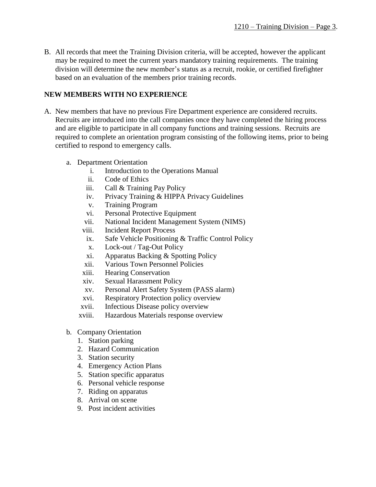B. All records that meet the Training Division criteria, will be accepted, however the applicant may be required to meet the current years mandatory training requirements. The training division will determine the new member's status as a recruit, rookie, or certified firefighter based on an evaluation of the members prior training records.

#### **NEW MEMBERS WITH NO EXPERIENCE**

- A. New members that have no previous Fire Department experience are considered recruits. Recruits are introduced into the call companies once they have completed the hiring process and are eligible to participate in all company functions and training sessions. Recruits are required to complete an orientation program consisting of the following items, prior to being certified to respond to emergency calls.
	- a. Department Orientation
		- i. Introduction to the Operations Manual
		- ii. Code of Ethics
		- iii. Call & Training Pay Policy
		- iv. Privacy Training & HIPPA Privacy Guidelines
		- v. Training Program
		- vi. Personal Protective Equipment
		- vii. National Incident Management System (NIMS)
		- viii. Incident Report Process
		- ix. Safe Vehicle Positioning & Traffic Control Policy
		- x. Lock-out / Tag-Out Policy
		- xi. Apparatus Backing & Spotting Policy
		- xii. Various Town Personnel Policies
		- xiii. Hearing Conservation
		- xiv. Sexual Harassment Policy
		- xv. Personal Alert Safety System (PASS alarm)
		- xvi. Respiratory Protection policy overview
		- xvii. Infectious Disease policy overview
		- xviii. Hazardous Materials response overview
	- b. Company Orientation
		- 1. Station parking
		- 2. Hazard Communication
		- 3. Station security
		- 4. Emergency Action Plans
		- 5. Station specific apparatus
		- 6. Personal vehicle response
		- 7. Riding on apparatus
		- 8. Arrival on scene
		- 9. Post incident activities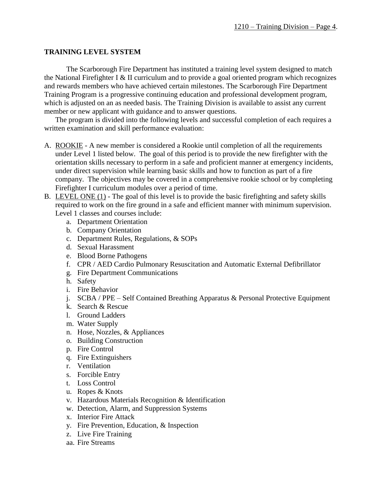#### **TRAINING LEVEL SYSTEM**

The Scarborough Fire Department has instituted a training level system designed to match the National Firefighter I & II curriculum and to provide a goal oriented program which recognizes and rewards members who have achieved certain milestones. The Scarborough Fire Department Training Program is a progressive continuing education and professional development program, which is adjusted on an as needed basis. The Training Division is available to assist any current member or new applicant with guidance and to answer questions.

The program is divided into the following levels and successful completion of each requires a written examination and skill performance evaluation:

- A. ROOKIE A new member is considered a Rookie until completion of all the requirements under Level 1 listed below. The goal of this period is to provide the new firefighter with the orientation skills necessary to perform in a safe and proficient manner at emergency incidents, under direct supervision while learning basic skills and how to function as part of a fire company. The objectives may be covered in a comprehensive rookie school or by completing Firefighter I curriculum modules over a period of time.
- B. LEVEL ONE (1) The goal of this level is to provide the basic firefighting and safety skills required to work on the fire ground in a safe and efficient manner with minimum supervision. Level 1 classes and courses include:
	- a. Department Orientation
	- b. Company Orientation
	- c. Department Rules, Regulations, & SOPs
	- d. Sexual Harassment
	- e. Blood Borne Pathogens
	- f. CPR / AED Cardio Pulmonary Resuscitation and Automatic External Defibrillator
	- g. Fire Department Communications
	- h. Safety
	- i. Fire Behavior
	- j. SCBA / PPE Self Contained Breathing Apparatus & Personal Protective Equipment
	- k. Search & Rescue
	- l. Ground Ladders
	- m. Water Supply
	- n. Hose, Nozzles, & Appliances
	- o. Building Construction
	- p. Fire Control
	- q. Fire Extinguishers
	- r. Ventilation
	- s. Forcible Entry
	- t. Loss Control
	- u. Ropes & Knots
	- v. Hazardous Materials Recognition & Identification
	- w. Detection, Alarm, and Suppression Systems
	- x. Interior Fire Attack
	- y. Fire Prevention, Education, & Inspection
	- z. Live Fire Training
	- aa. Fire Streams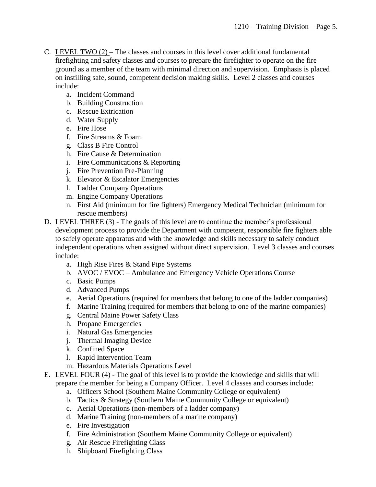- C. LEVEL TWO (2) The classes and courses in this level cover additional fundamental firefighting and safety classes and courses to prepare the firefighter to operate on the fire ground as a member of the team with minimal direction and supervision. Emphasis is placed on instilling safe, sound, competent decision making skills. Level 2 classes and courses include:
	- a. Incident Command
	- b. Building Construction
	- c. Rescue Extrication
	- d. Water Supply
	- e. Fire Hose
	- f. Fire Streams & Foam
	- g. Class B Fire Control
	- h. Fire Cause & Determination
	- i. Fire Communications & Reporting
	- j. Fire Prevention Pre-Planning
	- k. Elevator & Escalator Emergencies
	- l. Ladder Company Operations
	- m. Engine Company Operations
	- n. First Aid (minimum for fire fighters) Emergency Medical Technician (minimum for rescue members)
- D. LEVEL THREE (3) The goals of this level are to continue the member's professional development process to provide the Department with competent, responsible fire fighters able to safely operate apparatus and with the knowledge and skills necessary to safely conduct independent operations when assigned without direct supervision. Level 3 classes and courses include:
	- a. High Rise Fires & Stand Pipe Systems
	- b. AVOC / EVOC Ambulance and Emergency Vehicle Operations Course
	- c. Basic Pumps
	- d. Advanced Pumps
	- e. Aerial Operations (required for members that belong to one of the ladder companies)
	- f. Marine Training (required for members that belong to one of the marine companies)
	- g. Central Maine Power Safety Class
	- h. Propane Emergencies
	- i. Natural Gas Emergencies
	- j. Thermal Imaging Device
	- k. Confined Space
	- l. Rapid Intervention Team
	- m. Hazardous Materials Operations Level
- E. LEVEL FOUR (4) The goal of this level is to provide the knowledge and skills that will prepare the member for being a Company Officer. Level 4 classes and courses include:
	- a. Officers School (Southern Maine Community College or equivalent)
	- b. Tactics & Strategy (Southern Maine Community College or equivalent)
	- c. Aerial Operations (non-members of a ladder company)
	- d. Marine Training (non-members of a marine company)
	- e. Fire Investigation
	- f. Fire Administration (Southern Maine Community College or equivalent)
	- g. Air Rescue Firefighting Class
	- h. Shipboard Firefighting Class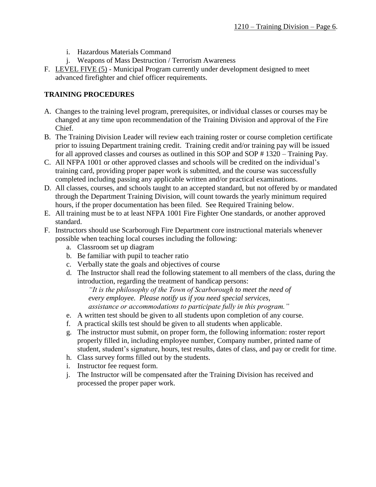- i. Hazardous Materials Command
- j. Weapons of Mass Destruction / Terrorism Awareness
- F. LEVEL FIVE (5) Municipal Program currently under development designed to meet advanced firefighter and chief officer requirements.

#### **TRAINING PROCEDURES**

- A. Changes to the training level program, prerequisites, or individual classes or courses may be changed at any time upon recommendation of the Training Division and approval of the Fire Chief.
- B. The Training Division Leader will review each training roster or course completion certificate prior to issuing Department training credit. Training credit and/or training pay will be issued for all approved classes and courses as outlined in this SOP and SOP # 1320 – Training Pay.
- C. All NFPA 1001 or other approved classes and schools will be credited on the individual's training card, providing proper paper work is submitted, and the course was successfully completed including passing any applicable written and/or practical examinations.
- D. All classes, courses, and schools taught to an accepted standard, but not offered by or mandated through the Department Training Division, will count towards the yearly minimum required hours, if the proper documentation has been filed. See Required Training below.
- E. All training must be to at least NFPA 1001 Fire Fighter One standards, or another approved standard.
- F. Instructors should use Scarborough Fire Department core instructional materials whenever possible when teaching local courses including the following:
	- a. Classroom set up diagram
	- b. Be familiar with pupil to teacher ratio
	- c. Verbally state the goals and objectives of course
	- d. The Instructor shall read the following statement to all members of the class, during the introduction, regarding the treatment of handicap persons:

*"It is the philosophy of the Town of Scarborough to meet the need of every employee. Please notify us if you need special services, assistance or accommodations to participate fully in this program."*

- e. A written test should be given to all students upon completion of any course.
- f. A practical skills test should be given to all students when applicable.
- g. The instructor must submit, on proper form, the following information: roster report properly filled in, including employee number, Company number, printed name of student, student's signature, hours, test results, dates of class, and pay or credit for time.
- h. Class survey forms filled out by the students.
- i. Instructor fee request form.
- j. The Instructor will be compensated after the Training Division has received and processed the proper paper work.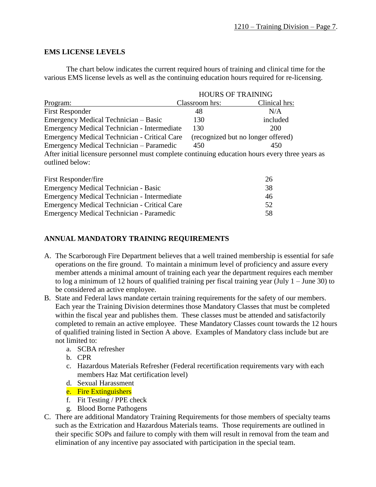#### **EMS LICENSE LEVELS**

The chart below indicates the current required hours of training and clinical time for the various EMS license levels as well as the continuing education hours required for re-licensing.

| <b>HOURS OF TRAINING</b>                                  |                                                                                                 |  |
|-----------------------------------------------------------|-------------------------------------------------------------------------------------------------|--|
| Classroom hrs:                                            | Clinical hrs:                                                                                   |  |
| 48                                                        | N/A                                                                                             |  |
| 130                                                       | included                                                                                        |  |
| <b>Emergency Medical Technician - Intermediate</b><br>130 | <b>200</b>                                                                                      |  |
| <b>Emergency Medical Technician - Critical Care</b>       | (recognized but no longer offered)                                                              |  |
| Emergency Medical Technician - Paramedic<br>450           | 450                                                                                             |  |
|                                                           | After initial licensure personnel must complete continuing education hours every three years as |  |
|                                                           |                                                                                                 |  |

| First Responder/fire                         | 26 |
|----------------------------------------------|----|
| Emergency Medical Technician - Basic         | 38 |
| Emergency Medical Technician - Intermediate  | 46 |
| Emergency Medical Technician - Critical Care | 52 |
| Emergency Medical Technician - Paramedic     | 58 |

# **ANNUAL MANDATORY TRAINING REQUIREMENTS**

- A. The Scarborough Fire Department believes that a well trained membership is essential for safe operations on the fire ground. To maintain a minimum level of proficiency and assure every member attends a minimal amount of training each year the department requires each member to log a minimum of 12 hours of qualified training per fiscal training year (July 1 – June 30) to be considered an active employee.
- B. State and Federal laws mandate certain training requirements for the safety of our members. Each year the Training Division determines those Mandatory Classes that must be completed within the fiscal year and publishes them. These classes must be attended and satisfactorily completed to remain an active employee. These Mandatory Classes count towards the 12 hours of qualified training listed in Section A above. Examples of Mandatory class include but are not limited to:
	- a. SCBA refresher
	- b. CPR
	- c. Hazardous Materials Refresher (Federal recertification requirements vary with each members Haz Mat certification level)
	- d. Sexual Harassment
	- e. Fire Extinguishers
	- f. Fit Testing / PPE check
	- g. Blood Borne Pathogens
- C. There are additional Mandatory Training Requirements for those members of specialty teams such as the Extrication and Hazardous Materials teams. Those requirements are outlined in their specific SOPs and failure to comply with them will result in removal from the team and elimination of any incentive pay associated with participation in the special team.